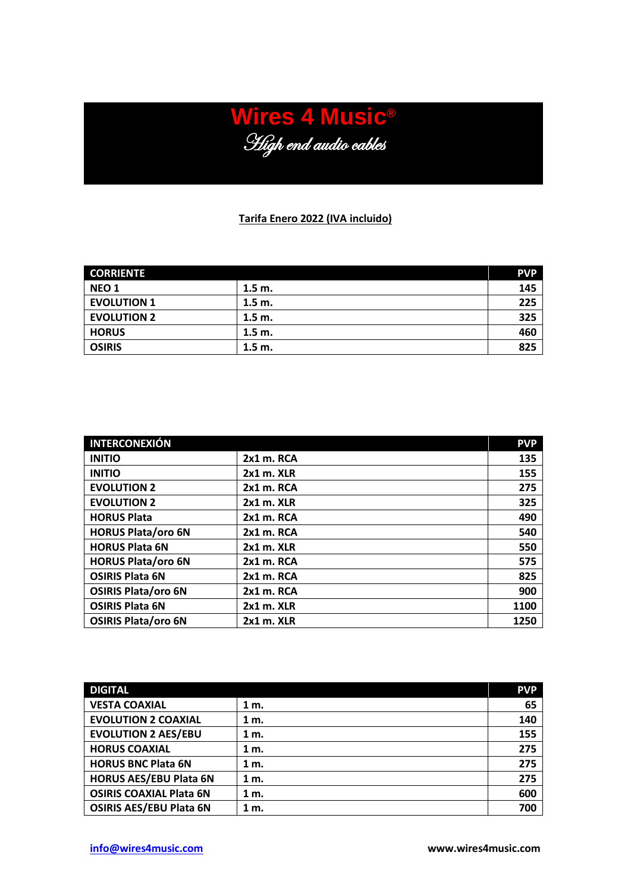## **Wires 4 Music®** High end audio cables

## **Tarifa Enero 2022 (IVA incluido)**

| <b>CORRIENTE</b>   |          | <b>PVP</b> |
|--------------------|----------|------------|
| <b>NEO 1</b>       | $1.5m$ . | 145        |
| <b>EVOLUTION 1</b> | 1.5 m.   | 225        |
| <b>EVOLUTION 2</b> | $1.5m$ . | 325        |
| <b>HORUS</b>       | $1.5m$ . | 460        |
| <b>OSIRIS</b>      | 1.5 m.   | 825        |

| <b>INTERCONEXIÓN</b>       |                | <b>PVP</b> |
|----------------------------|----------------|------------|
| <b>INITIO</b>              | 2x1 m. RCA     | 135        |
| <b>INITIO</b>              | $2x1$ m. $XLR$ | 155        |
| <b>EVOLUTION 2</b>         | 2x1 m. RCA     | 275        |
| <b>EVOLUTION 2</b>         | 2x1 m. XLR     | 325        |
| <b>HORUS Plata</b>         | 2x1 m. RCA     | 490        |
| <b>HORUS Plata/oro 6N</b>  | 2x1 m. RCA     | 540        |
| <b>HORUS Plata 6N</b>      | $2x1$ m. $XLR$ | 550        |
| <b>HORUS Plata/oro 6N</b>  | $2x1$ m. RCA   | 575        |
| <b>OSIRIS Plata 6N</b>     | $2x1$ m. RCA   | 825        |
| <b>OSIRIS Plata/oro 6N</b> | 2x1 m. RCA     | 900        |
| <b>OSIRIS Plata 6N</b>     | 2x1 m. XLR     | 1100       |
| <b>OSIRIS Plata/oro 6N</b> | $2x1$ m. $XLR$ | 1250       |

| <b>DIGITAL</b>                 |        | <b>PVP</b> |
|--------------------------------|--------|------------|
| <b>VESTA COAXIAL</b>           | 1 m.   | 65         |
| <b>EVOLUTION 2 COAXIAL</b>     | $1m$ . | 140        |
| <b>EVOLUTION 2 AES/EBU</b>     | 1 m.   | 155        |
| <b>HORUS COAXIAL</b>           | 1 m.   | 275        |
| <b>HORUS BNC Plata 6N</b>      | 1 m.   | 275        |
| <b>HORUS AES/EBU Plata 6N</b>  | 1 m.   | 275        |
| <b>OSIRIS COAXIAL Plata 6N</b> | 1 m.   | 600        |
| <b>OSIRIS AES/EBU Plata 6N</b> | 1 m.   | 700        |